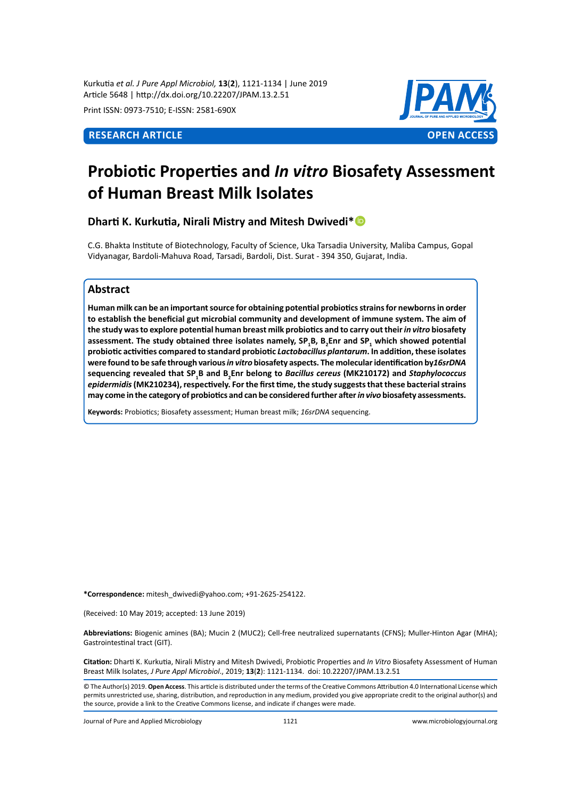Kurkutia *et al. J Pure Appl Microbiol,* **13**(**2**), 1121-1134 | June 2019 Article 5648 | http://dx.doi.org/10.22207/JPAM.13.2.51

Print ISSN: 0973-7510; E-ISSN: 2581-690X



# **Probiotic Properties and** *In vitro* **Biosafety Assessment of Human Breast Milk Isolates**

**Dharti K. Kurkutia, Nirali Mistry and Mitesh Dwivedi\***

C.G. Bhakta Institute of Biotechnology, Faculty of Science, Uka Tarsadia University, Maliba Campus, Gopal Vidyanagar, Bardoli-Mahuva Road, Tarsadi, Bardoli, Dist. Surat - 394 350, Gujarat, India.

# **Abstract**

**Human milk can be an important source for obtaining potential probiotics strains for newborns in order to establish the beneficial gut microbial community and development of immune system. The aim of the study was to explore potential human breast milk probiotics and to carry out their** *in vitro* **biosafety assessment. The study obtained three isolates namely, SP<sup>1</sup> B, B<sup>2</sup> Enr and SP1 which showed potential probiotic activities compared to standard probiotic** *Lactobacillus plantarum***. In addition, these isolates were found to be safe through various** *in vitro* **biosafety aspects. The molecular identification by***16srDNA*  **sequencing revealed that SP1 B and B2 Enr belong to** *Bacillus cereus* **(MK210172) and** *Staphylococcus*  epidermidis (MK210234), respectively. For the first time, the study suggests that these bacterial strains **may come in the category of probiotics and can be considered further after** *in vivo* **biosafety assessments.**

**Keywords:** Probiotics; Biosafety assessment; Human breast milk; *16srDNA* sequencing.

**\*Correspondence:** mitesh\_dwivedi@yahoo.com; +91-2625-254122.

(Received: 10 May 2019; accepted: 13 June 2019)

**Abbreviations:** Biogenic amines (BA); Mucin 2 (MUC2); Cell-free neutralized supernatants (CFNS); Muller-Hinton Agar (MHA); Gastrointestinal tract (GIT).

**Citation:** Dharti K. Kurkutia, Nirali Mistry and Mitesh Dwivedi, Probiotic Properties and *In Vitro* Biosafety Assessment of Human Breast Milk Isolates, *J Pure Appl Microbiol*., 2019; **13**(**2**): 1121-1134. doi: 10.22207/JPAM.13.2.51

© The Author(s) 2019. **Open Access**. This article is distributed under the terms of the Creative Commons Attribution 4.0 International License which permits unrestricted use, sharing, distribution, and reproduction in any medium, provided you give appropriate credit to the original author(s) and the source, provide a link to the Creative Commons license, and indicate if changes were made.

Journal of Pure and Applied Microbiology 1121 www.microbiologyjournal.org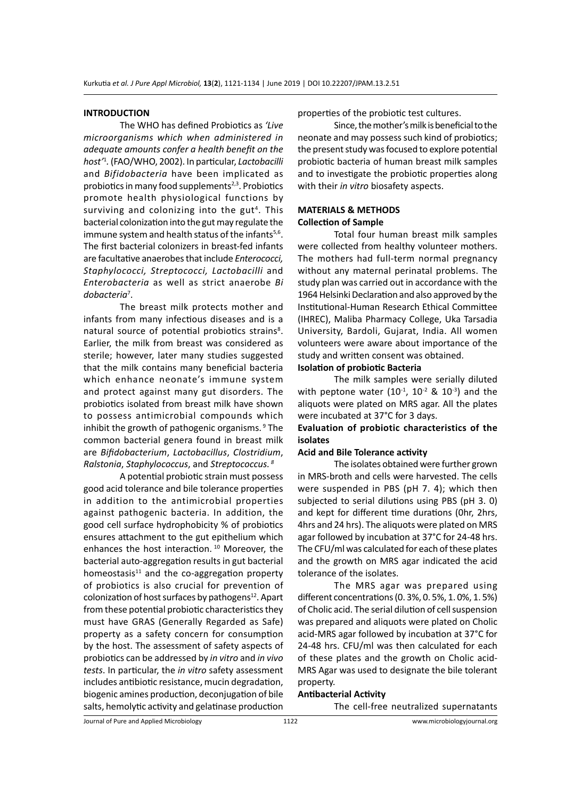### **INTRODUCTION**

The WHO has defined Probiotics as *'Live microorganisms which when administered in adequate amounts confer a health benefit on the host'*<sup>1</sup> *.* (FAO/WHO, 2002). In particular, *Lactobacilli* and *Bifidobacteria* have been implicated as probiotics in many food supplements $2,3$ . Probiotics promote health physiological functions by surviving and colonizing into the gut<sup>4</sup>. This bacterial colonization into the gut may regulate the immune system and health status of the infants $5,6$ . The first bacterial colonizers in breast-fed infants are facultative anaerobes that include *Enterococci, Staphylococci, Streptococci, Lactobacilli* and *Enterobacteria* as well as strict anaerobe *Bi dobacteria*<sup>7</sup> .

The breast milk protects mother and infants from many infectious diseases and is a natural source of potential probiotics strains<sup>8</sup>. Earlier, the milk from breast was considered as sterile; however, later many studies suggested that the milk contains many beneficial bacteria which enhance neonate's immune system and protect against many gut disorders. The probiotics isolated from breast milk have shown to possess antimicrobial compounds which inhibit the growth of pathogenic organisms.  $9$  The common bacterial genera found in breast milk are *Bifidobacterium*, *Lactobacillus*, *Clostridium*, *Ralstonia*, *Staphylococcus*, and *Streptococcus. 8*

A potential probiotic strain must possess good acid tolerance and bile tolerance properties in addition to the antimicrobial properties against pathogenic bacteria. In addition, the good cell surface hydrophobicity % of probiotics ensures attachment to the gut epithelium which enhances the host interaction.<sup>10</sup> Moreover, the bacterial auto-aggregation results in gut bacterial homeostasis $11$  and the co-aggregation property of probiotics is also crucial for prevention of colonization of host surfaces by pathogens $^{12}$ . Apart from these potential probiotic characteristics they must have GRAS (Generally Regarded as Safe) property as a safety concern for consumption by the host. The assessment of safety aspects of probiotics can be addressed by *in vitro* and *in vivo tests*. In particular, the *in vitro* safety assessment includes antibiotic resistance, mucin degradation, biogenic amines production, deconjugation of bile salts, hemolytic activity and gelatinase production properties of the probiotic test cultures.

Since, the mother's milk is beneficial to the neonate and may possess such kind of probiotics; the present study was focused to explore potential probiotic bacteria of human breast milk samples and to investigate the probiotic properties along with their *in vitro* biosafety aspects.

# **MATERIALS & METHODS Collection of Sample**

Total four human breast milk samples were collected from healthy volunteer mothers. The mothers had full-term normal pregnancy without any maternal perinatal problems. The study plan was carried out in accordance with the 1964 Helsinki Declaration and also approved by the Institutional-Human Research Ethical Committee (IHREC), Maliba Pharmacy College, Uka Tarsadia University, Bardoli, Gujarat, India. All women volunteers were aware about importance of the study and written consent was obtained.

# **Isolation of probiotic Bacteria**

The milk samples were serially diluted with peptone water  $(10^{-1}, 10^{-2} \& 10^{-3})$  and the aliquots were plated on MRS agar. All the plates were incubated at 37°C for 3 days.

# **Evaluation of probiotic characteristics of the isolates**

#### **Acid and Bile Tolerance activity**

The isolates obtained were further grown in MRS-broth and cells were harvested. The cells were suspended in PBS (pH 7. 4); which then subjected to serial dilutions using PBS (pH 3. 0) and kept for different time durations (0hr, 2hrs, 4hrs and 24 hrs). The aliquots were plated on MRS agar followed by incubation at 37°C for 24-48 hrs. The CFU/ml was calculated for each of these plates and the growth on MRS agar indicated the acid tolerance of the isolates.

The MRS agar was prepared using different concentrations (0. 3%, 0. 5%, 1. 0%, 1. 5%) of Cholic acid. The serial dilution of cell suspension was prepared and aliquots were plated on Cholic acid-MRS agar followed by incubation at 37°C for 24-48 hrs. CFU/ml was then calculated for each of these plates and the growth on Cholic acid-MRS Agar was used to designate the bile tolerant property.

#### **Antibacterial Activity**

The cell-free neutralized supernatants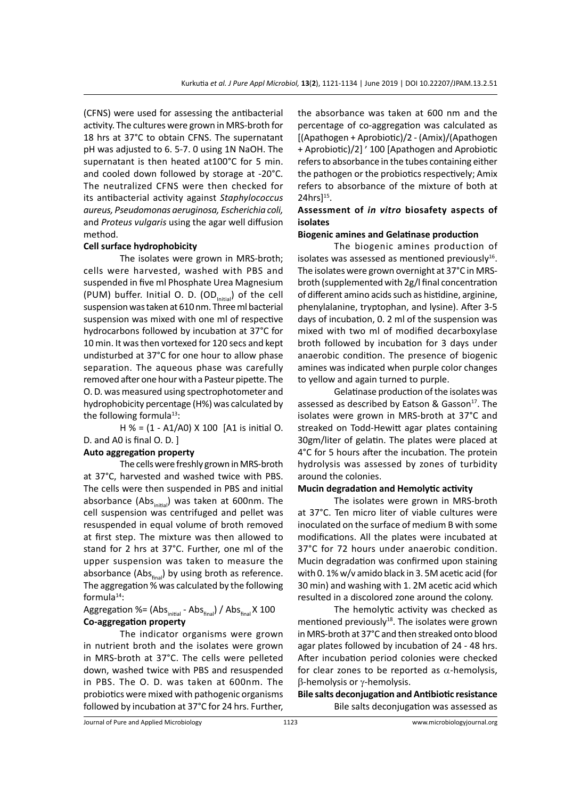(CFNS) were used for assessing the antibacterial activity. The cultures were grown in MRS-broth for 18 hrs at 37°C to obtain CFNS. The supernatant pH was adjusted to 6. 5-7. 0 using 1N NaOH. The supernatant is then heated at100°C for 5 min. and cooled down followed by storage at -20°C. The neutralized CFNS were then checked for its antibacterial activity against *Staphylococcus aureus, Pseudomonas aeruginosa, Escherichia coli,*  and *Proteus vulgaris* using the agar well diffusion method.

# **Cell surface hydrophobicity**

The isolates were grown in MRS-broth; cells were harvested, washed with PBS and suspended in five ml Phosphate Urea Magnesium (PUM) buffer. Initial O. D. (OD $_{initial}$ ) of the cell suspension was taken at 610 nm. Three ml bacterial suspension was mixed with one ml of respective hydrocarbons followed by incubation at 37°C for 10 min. It was then vortexed for 120 secs and kept undisturbed at 37°C for one hour to allow phase separation. The aqueous phase was carefully removed after one hour with a Pasteur pipette. The O. D. was measured using spectrophotometer and hydrophobicity percentage (H%) was calculated by the following formula $13$ :

H % = (1 - A1/A0) X 100 [A1 is initial O. D. and A0 is final O. D. ]

# **Auto aggregation property**

The cells were freshly grown in MRS-broth at 37°C, harvested and washed twice with PBS. The cells were then suspended in PBS and initial absorbance (Abs $_{initial}$ ) was taken at 600nm. The cell suspension was centrifuged and pellet was resuspended in equal volume of broth removed at first step. The mixture was then allowed to stand for 2 hrs at 37°C. Further, one ml of the upper suspension was taken to measure the absorbance (Abs $_{\text{final}}$ ) by using broth as reference. The aggregation % was calculated by the following formula<sup>14</sup>:

# Aggregation %= (Abs $_{initial}$  - Abs $_{final}$ ) / Abs $_{final}$  X 100 **Co-aggregation property**

The indicator organisms were grown in nutrient broth and the isolates were grown in MRS-broth at 37°C. The cells were pelleted down, washed twice with PBS and resuspended in PBS. The O. D. was taken at 600nm. The probiotics were mixed with pathogenic organisms followed by incubation at 37°C for 24 hrs. Further, the absorbance was taken at 600 nm and the percentage of co-aggregation was calculated as [(Apathogen + Aprobiotic)/2 - (Amix)/(Apathogen + Aprobiotic)/2] ׳ 100] Apathogen and Aprobiotic refers to absorbance in the tubes containing either the pathogen or the probiotics respectively; Amix refers to absorbance of the mixture of both at 24hrs]<sup>15</sup>.

# **Assessment of** *in vitro* **biosafety aspects of isolates**

#### **Biogenic amines and Gelatinase production**

The biogenic amines production of isolates was assessed as mentioned previously $16$ . The isolates were grown overnight at 37°C in MRSbroth (supplemented with 2g/l final concentration of different amino acids such as histidine, arginine, phenylalanine, tryptophan, and lysine). After 3-5 days of incubation, 0. 2 ml of the suspension was mixed with two ml of modified decarboxylase broth followed by incubation for 3 days under anaerobic condition. The presence of biogenic amines was indicated when purple color changes to yellow and again turned to purple.

Gelatinase production of the isolates was assessed as described by Eatson & Gasson $17$ . The isolates were grown in MRS-broth at 37°C and streaked on Todd-Hewitt agar plates containing 30gm/liter of gelatin. The plates were placed at 4°C for 5 hours after the incubation. The protein hydrolysis was assessed by zones of turbidity around the colonies.

# **Mucin degradation and Hemolytic activity**

The isolates were grown in MRS-broth at 37°C. Ten micro liter of viable cultures were inoculated on the surface of medium B with some modifications. All the plates were incubated at 37°C for 72 hours under anaerobic condition. Mucin degradation was confirmed upon staining with 0. 1% w/v amido black in 3. 5M acetic acid (for 30 min) and washing with 1. 2M acetic acid which resulted in a discolored zone around the colony.

The hemolytic activity was checked as mentioned previously<sup>18</sup>. The isolates were grown in MRS-broth at 37°C and then streaked onto blood agar plates followed by incubation of 24 - 48 hrs. After incubation period colonies were checked for clear zones to be reported as  $\alpha$ -hemolysis, β-hemolysis or γ-hemolysis.

**Bile salts deconjugation and Antibiotic resistance** Bile salts deconjugation was assessed as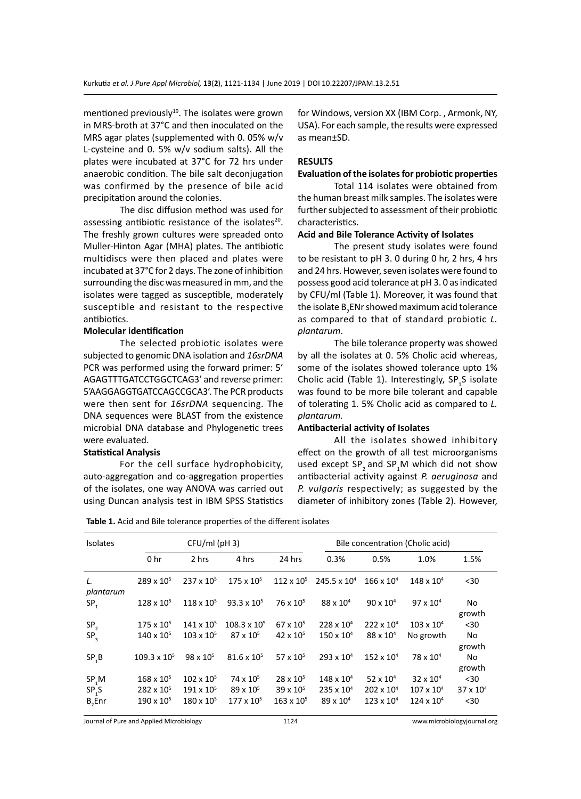mentioned previously $19$ . The isolates were grown in MRS-broth at 37°C and then inoculated on the MRS agar plates (supplemented with 0. 05% w/v L-cysteine and 0. 5% w/v sodium salts). All the plates were incubated at 37°C for 72 hrs under anaerobic condition. The bile salt deconjugation was confirmed by the presence of bile acid precipitation around the colonies.

The disc diffusion method was used for assessing antibiotic resistance of the isolates<sup>20</sup>. The freshly grown cultures were spreaded onto Muller-Hinton Agar (MHA) plates. The antibiotic multidiscs were then placed and plates were incubated at 37°C for 2 days. The zone of inhibition surrounding the disc was measured in mm, and the isolates were tagged as susceptible, moderately susceptible and resistant to the respective antibiotics.

### **Molecular identification**

The selected probiotic isolates were subjected to genomic DNA isolation and *16srDNA* PCR was performed using the forward primer: 5' AGAGTTTGATCCTGGCTCAG3' and reverse primer: 5'AAGGAGGTGATCCAGCCGCA3'. The PCR products were then sent for *16srDNA* sequencing. The DNA sequences were BLAST from the existence microbial DNA database and Phylogenetic trees were evaluated.

#### **Statistical Analysis**

For the cell surface hydrophobicity, auto-aggregation and co-aggregation properties of the isolates, one way ANOVA was carried out using Duncan analysis test in IBM SPSS Statistics for Windows, version XX (IBM Corp. , Armonk, NY, USA). For each sample, the results were expressed as mean±SD.

### **RESULTS**

# **Evaluation of the isolates for probiotic properties**

Total 114 isolates were obtained from the human breast milk samples. The isolates were further subjected to assessment of their probiotic characteristics.

#### **Acid and Bile Tolerance Activity of Isolates**

The present study isolates were found to be resistant to pH 3. 0 during 0 hr, 2 hrs, 4 hrs and 24 hrs. However, seven isolates were found to possess good acid tolerance at pH 3. 0 as indicated by CFU/ml (Table 1). Moreover, it was found that the isolate  $\mathtt{B}_2$ ENr showed maximum acid tolerance as compared to that of standard probiotic *L. plantarum*.

The bile tolerance property was showed by all the isolates at 0. 5% Cholic acid whereas, some of the isolates showed tolerance upto 1% Cholic acid (Table 1). Interestingly,  $SP_{1}S$  isolate was found to be more bile tolerant and capable of tolerating 1. 5% Cholic acid as compared to *L. plantarum.* 

#### **Antibacterial activity of Isolates**

All the isolates showed inhibitory effect on the growth of all test microorganisms used except SP<sub>2</sub> and SP<sub>1</sub>M which did not show antibacterial activity against *P. aeruginosa* and *P. vulgaris* respectively; as suggested by the diameter of inhibitory zones (Table 2). However,

| <b>Isolates</b>   |                       | $CFU/ml$ (pH 3)     |                       |                     | Bile concentration (Cholic acid) |                     |                     |                    |
|-------------------|-----------------------|---------------------|-----------------------|---------------------|----------------------------------|---------------------|---------------------|--------------------|
|                   | 0 <sub>hr</sub>       | 2 hrs               | 4 hrs                 | 24 hrs              | 0.3%                             | 0.5%                | 1.0%                | 1.5%               |
| L.<br>plantarum   | $289 \times 10^{5}$   | $237 \times 10^{5}$ | $175 \times 10^{5}$   | $112 \times 10^{5}$ | $245.5 \times 10^4$              | $166 \times 10^{4}$ | $148 \times 10^{4}$ | $30$               |
| SP <sub>1</sub>   | $128 \times 10^{5}$   | $118 \times 10^{5}$ | $93.3 \times 10^{5}$  | $76 \times 10^{5}$  | $88 \times 10^{4}$               | $90 \times 10^{4}$  | $97 \times 10^{4}$  | No<br>growth       |
| SP <sub>2</sub>   | $175 \times 10^{5}$   | $141 \times 10^{5}$ | $108.3 \times 10^{5}$ | $67 \times 10^{5}$  | $228 \times 10^{4}$              | $222 \times 10^{4}$ | $103 \times 10^{4}$ | $30$               |
| SP <sub>3</sub>   | $140 \times 10^{5}$   | $103 \times 10^{5}$ | $87 \times 10^{5}$    | $42 \times 10^{5}$  | $150 \times 10^{4}$              | $88 \times 10^{4}$  | No growth           | No<br>growth       |
| SP <sub>1</sub> B | $109.3 \times 10^{5}$ | $98 \times 10^{5}$  | $81.6 \times 10^{5}$  | $57 \times 10^{5}$  | 293 x 10 <sup>4</sup>            | $152 \times 10^{4}$ | $78 \times 10^{4}$  | No<br>growth       |
| SP, M             | $168 \times 10^{5}$   | $102 \times 10^{5}$ | $74 \times 10^{5}$    | $28 \times 10^{5}$  | $148 \times 10^{4}$              | 52 x $10^4$         | $32 \times 10^{4}$  | $30$               |
| SP <sub>1</sub> S | $282 \times 10^{5}$   | $191 \times 10^{5}$ | $89 \times 10^{5}$    | $39 \times 10^{5}$  | $235 \times 10^{4}$              | $202 \times 10^{4}$ | $107 \times 10^{4}$ | $37 \times 10^{4}$ |
| $B,$ Enr          | $190 \times 10^{5}$   | $180 \times 10^{5}$ | $177 \times 10^{5}$   | $163 \times 10^{5}$ | $89 \times 10^{4}$               | $123 \times 10^{4}$ | $124 \times 10^{4}$ | $30$               |

Journal of Pure and Applied Microbiology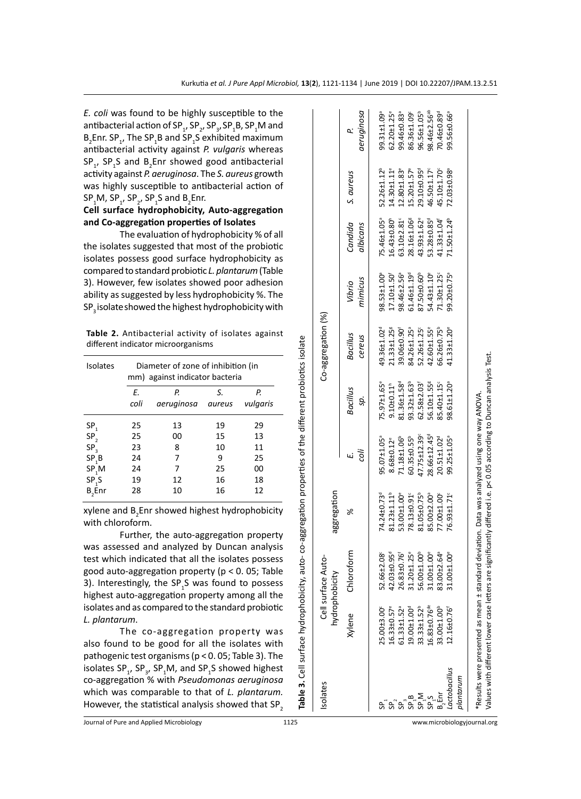|                   |                          |                                                    | Table 3. Cell surface hydrophobicity, auto- co-aggregation properties of the different probiotics isolate                                                                                                          |                          |                         |                         |                               |                         |                             |                          |
|-------------------|--------------------------|----------------------------------------------------|--------------------------------------------------------------------------------------------------------------------------------------------------------------------------------------------------------------------|--------------------------|-------------------------|-------------------------|-------------------------------|-------------------------|-----------------------------|--------------------------|
| solates           |                          | Cell surface Auto-<br>hydrophobicity               | aggregation                                                                                                                                                                                                        |                          |                         | Co-aggregation (%)      |                               |                         |                             |                          |
|                   | Xylene                   | Chloroform                                         | ℅                                                                                                                                                                                                                  |                          | Bacillus                | <b>Bacillus</b>         | Vibrio                        | Candida                 | S. aureus                   | σ.                       |
|                   |                          |                                                    |                                                                                                                                                                                                                    | ijos                     | sp.                     | cereus                  | mimicus                       | albicans                |                             | aeruginosa               |
|                   | 25.00±3.00               | 52.66±2.08                                         | 74.24±0.73 <sup>d</sup>                                                                                                                                                                                            | $95.07 \pm 1.05$         | 75.97±1.65°             | 49.36±1.02 <sup>d</sup> | 98.53±1.00 <sup>ª</sup>       | 75.46±1.05 <sup>ª</sup> | 52.26±1.12 <sup>b</sup>     | 99.31±1.09               |
| င္တီ              | 16.33±0.57 <sup>e</sup>  | 42.03±0.95 <sup>d</sup>                            | 81.23±1.11 <sup>b</sup>                                                                                                                                                                                            | 8.68±0.12 <sup>e</sup>   | $9.10\pm0.11^h$         | 21.33±1.25              | 17.10±1.50                    | 16.43±0.80              | $14.30 + 1.11$ <sup>e</sup> | 62.20±1.25 <sup>e</sup>  |
|                   | 61.33±1.52 <sup>ª</sup>  | 26.83±0.76 <sup>f</sup><br>31.20±1.25 <sup>e</sup> | 53.00±1.00°                                                                                                                                                                                                        | 71.18±1.06 <sup>b</sup>  | 81.36±1.58 <sup>d</sup> | 39.06±0.90              | 98.46±2.56ª                   | 63.10±2.81°             | $12.80 + 1.83$ <sup>e</sup> | 99.46±0.83ª              |
| SP <sub>1</sub> B | 19.00±1.00 <sup>d</sup>  |                                                    | 78.13±0.91                                                                                                                                                                                                         | 60.35±0.55 <sup>b</sup>  | 93.32±1.63 <sup>b</sup> | 84.26±1.25 <sup>ª</sup> | $61.46 \pm 1.19$ <sup>d</sup> | 28.16±1.06 <sup>g</sup> | 15.20±1.57 <sup>e</sup>     | 86.36±1.09°              |
| SP <sub>I</sub> M | 33.33±1.52 <sup>b</sup>  | 56.00±1.00 <sup>b</sup>                            | 81.05±0.75 <sup>b</sup>                                                                                                                                                                                            | 47.75±12.39              | $62.58 \pm 2.03$        | 52.26±1.25°             | 87.50±0.60 <sup>b</sup>       | 43.93±1.62 <sup>e</sup> | 29.10±0.95 <sup>d</sup>     | 96.56±1.05 <sup>b</sup>  |
| SPS               | 16.83±0.76 <sup>de</sup> | 31.00±1.00 <sup>e</sup>                            | 85.00±2.00ª                                                                                                                                                                                                        | 28.66±12.45 <sup>d</sup> | 56.10±1.55              | 42.60±1.55°             | 54.43±1.10°                   | 53.28±0.85 <sup>d</sup> | 46.50±1.17°                 | 98.46±2.56 <sup>ab</sup> |
| B. Enr            | 33.00±1.00 <sup>b</sup>  | 83.00±2.64 <sup>ª</sup>                            | 77.00±1.00°                                                                                                                                                                                                        | 20.51±1.02 <sup>d</sup>  | 85.40±1.15°             | 66.26±0.75 <sup>b</sup> | $71.30 \pm 1.25$              | 41.33±1.04 <sup>f</sup> | 45.10±1.70°                 | 70.46±0.89 <sup>d</sup>  |
| actobacillus      | $12.16 \pm 0.76$         | 31.00±1.00°                                        | 76.93±1.71°                                                                                                                                                                                                        | 99.25±1.05 <sup>ª</sup>  | 98.61±1.20 <sup>ª</sup> | 41.33±1.20 <sup>e</sup> | 99.20±0.75ª                   | 71.50±1.24 <sup>b</sup> | 72.03±0.98                  | 99.56±0.66ª              |
| plantarum         |                          |                                                    |                                                                                                                                                                                                                    |                          |                         |                         |                               |                         |                             |                          |
|                   |                          |                                                    | Values with different lower case letters are significantly differed i.e. p< 0.05 according to Duncan analysis Test.<br>*Results were presented as mean ± standard deviation. Data was analyzed using one way ANOVA |                          |                         |                         |                               |                         |                             |                          |
|                   |                          |                                                    |                                                                                                                                                                                                                    |                          |                         |                         |                               |                         |                             |                          |

*E. coli* was found to be highly susceptible to t antibacterial action of SP<sub>1</sub>, SP<sub>2</sub>, SP<sub>3</sub>, SP<sub>1</sub>B, SP<sub>1</sub>M and  $B_2$ Enr. SP<sub>1</sub>, The SP<sub>1</sub>B and SP<sub>1</sub>S exhibited maximum antibacterial activity against *P. vulgaris* where  $SP_{1}$ ,  $SP_{1}S$  and  $B_{2}Enr$  showed good antibacterial activity against *P. aeruginosa*. The *S. aureus* growth was highly susceptible to antibacterial action SP<sub>1</sub>M, SP<sub>1</sub>, SP<sub>2</sub>, SP<sub>1</sub>S and B<sub>2</sub>Enr.

# **Cell surface hydrophobicity, Auto-aggregati and Co-aggregation properties of Isolates**

The evaluation of hydrophobicity % of the isolates suggested that most of the probio isolates possess good surface hydrophobicity compared to standard probiotic L. plantarum (Table 3). However, few isolates showed poor adhesi ability as suggested by less hydrophobicity %. The SP<sub>2</sub> isolate showed the highest hydrophobicity w

Table 2. Antibacterial activity of isolates again different indicator microorganisms

| <b>Isolates</b>   | Diameter of zone of inhibition (in<br>mm) against indicator bacteria |                  |              |                |  |  |  |  |  |  |
|-------------------|----------------------------------------------------------------------|------------------|--------------|----------------|--|--|--|--|--|--|
|                   | Е.<br>coli                                                           | Р.<br>aeruginosa | S.<br>aureus | Р.<br>vulgaris |  |  |  |  |  |  |
| SP <sub>1</sub>   | 25                                                                   | 13               | 19           | 29             |  |  |  |  |  |  |
| SP,               | 25                                                                   | 00               | 15           | 13             |  |  |  |  |  |  |
| SP <sub>3</sub>   | 23                                                                   | 8                | 10           | 11             |  |  |  |  |  |  |
| SP <sub>1</sub> B | 24                                                                   | 7                | 9            | 25             |  |  |  |  |  |  |
| SP, M             | 24                                                                   | 7                | 25           | 00             |  |  |  |  |  |  |
| SP <sub>1</sub> S | 19                                                                   | 12               | 16           | 18             |  |  |  |  |  |  |
| $B,$ Enr          | 28                                                                   | 10               | 16           | 12             |  |  |  |  |  |  |

xylene and  $B_2$ Enr showed highest hydrophobicity with chloroform.

Further, the auto-aggregation proper was assessed and analyzed by Duncan analy test which indicated that all the isolates posse good auto-aggregation property ( $p < 0$ . 05; Tal 3). Interestingly, the  $SP<sub>1</sub>S$  was found to possess highest auto-aggregation property among all t isolates and as compared to the standard probio *L. plantarum*.

The co-aggregation property w also found to be good for all the isolates w pathogenic test organisms ( $p < 0.05$ ; Table 3). T isolates  $\text{SP}_{1}$ ,  $\text{SP}_{3}$ ,  $\text{SP}_{1}$ M, and  $\text{SP}_{1}$ S showed highest co-aggregation % with *Pseudomonas aeruginos* which was comparable to that of *L. plantaru* However, the statistical analysis showed that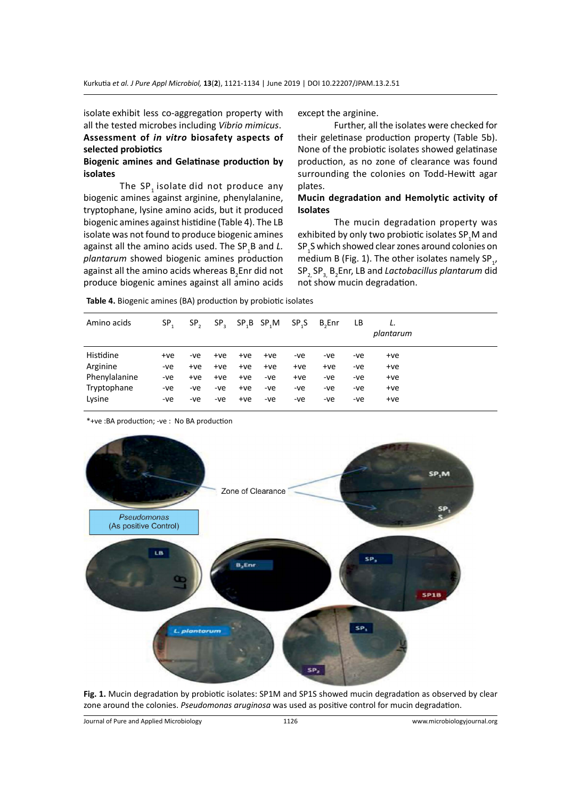isolate exhibit less co-aggregation property with all the tested microbes including *Vibrio mimicus*. **Assessment of** *in vitro* **biosafety aspects of selected probiotics**

# **Biogenic amines and Gelatinase production by isolates**

The  $SP_1$  isolate did not produce any biogenic amines against arginine, phenylalanine, tryptophane, lysine amino acids, but it produced biogenic amines against histidine (Table 4). The LB isolate was not found to produce biogenic amines against all the amino acids used. The SP<sub>1</sub>B and *L*. *plantarum* showed biogenic amines production against all the amino acids whereas  $B_2$ Enr did not produce biogenic amines against all amino acids

except the arginine.

Further, all the isolates were checked for their geletinase production property (Table 5b). None of the probiotic isolates showed gelatinase production, as no zone of clearance was found surrounding the colonies on Todd-Hewitt agar plates.

# **Mucin degradation and Hemolytic activity of Isolates**

The mucin degradation property was exhibited by only two probiotic isolates SP $_{\textrm{\tiny{\begin{array}{c}1\end{array}}}$  and  $\mathsf{SP}_\mathtt{1} \mathsf{S}$  which showed clear zones around colonies on medium B (Fig. 1). The other isolates namely SP<sub>1</sub>, SP2, SP3, B2 Enr, LB and *Lactobacillus plantarum* did not show mucin degradation.

| Table 4. Biogenic amines (BA) production by probiotic isolates |  |  |
|----------------------------------------------------------------|--|--|
|----------------------------------------------------------------|--|--|

| Amino acids   | SP.   | SP <sub>2</sub> | $SP_{2}$ |       | $SP$ <sub>,</sub> $B$ $SP$ <sub>,</sub> $M$ | SP.S  | <b>B</b> <sub>c</sub> Enr | LB. | plantarum |
|---------------|-------|-----------------|----------|-------|---------------------------------------------|-------|---------------------------|-----|-----------|
| Histidine     | $+ve$ | -ve             | $+ve$    | $+ve$ | +ve                                         | -ve   | -ve                       | -ve | +ve       |
| Arginine      | -ve   | $+ve$           | $+ve$    | $+ve$ | $+ve$                                       | $+ve$ | +ve                       | -ve | $+ve$     |
| Phenylalanine | -ve   | $+ve$           | $+ve$    | $+ve$ | -ve                                         | $+ve$ | -ve                       | -ve | $+ve$     |
| Tryptophane   | -ve   | -ve             | -ve      | $+ve$ | -ve                                         | -ve   | -ve                       | -ve | $+ve$     |
| Lysine        | -ve   | -ve             | -ve      | $+ve$ | -ve                                         | -ve   | -ve                       | -ve | $+ve$     |

\*+ve :BA production; -ve : No BA production



**Fig. 1.** Mucin degradation by probiotic isolates: SP1M and SP1S showed mucin degradation as observed by clear zone around the colonies. *Pseudomonas aruginosa* was used as positive control for mucin degradation.

Journal of Pure and Applied Microbiology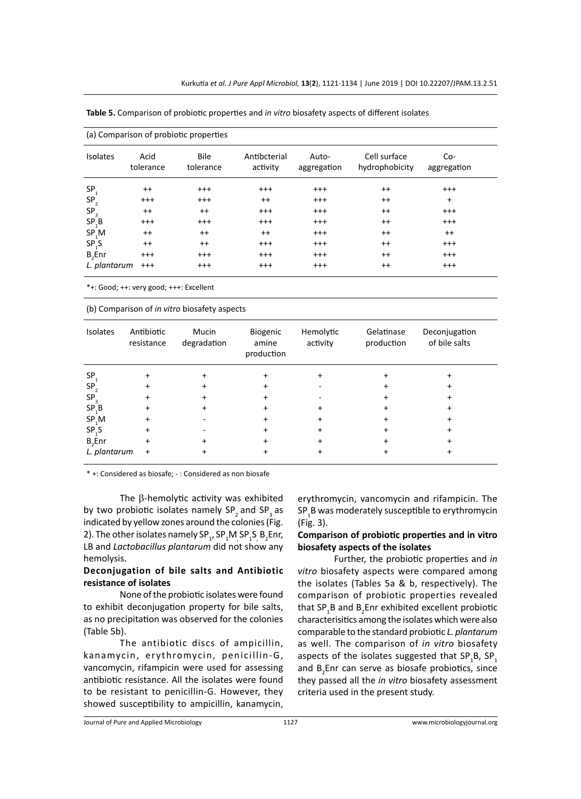| <b>Isolates</b>   | Acid<br>tolerance | <b>Bile</b><br>tolerance | Antibcterial<br>activity | Auto-<br>aggregation | Cell surface<br>hydrophobicity | $Co-$<br>aggregation |
|-------------------|-------------------|--------------------------|--------------------------|----------------------|--------------------------------|----------------------|
| SP <sub>1</sub>   | $^{++}$           | $^{+++}$                 | $^{+++}$                 | $^{+++}$             | $^{++}$                        | $^{+++}$             |
| $SP_2^-$          | $^{+++}$          | $^{+++}$                 | $^{++}$                  | $^{+++}$             | $^{++}$                        | $+$                  |
| SP <sub>3</sub>   | $^{++}$           | $^{++}$                  | $^{+++}$                 | $^{+++}$             | $^{++}$                        | $^{+++}$             |
| SP <sub>1</sub> B | $^{+++}$          | $^{+++}$                 | $^{+++}$                 | $^{+++}$             | $^{++}$                        | $^{+++}$             |
| SP <sub>1</sub> M | $^{++}$           | $^{++}$                  | $^{++}$                  | $^{+++}$             | $^{++}$                        | $^{++}$              |
| SP <sub>1</sub> S | $^{++}$           | $^{++}$                  | $^{+++}$                 | $^{+++}$             | $^{++}$                        | $^{+++}$             |
| $B,$ Enr          | $^{+++}$          | $^{+++}$                 | $^{+++}$                 | $^{+++}$             | $^{++}$                        | $^{+++}$             |
| L. plantarum      | $^{+++}$          | $^{+++}$                 | $^{+++}$                 | $^{+++}$             | $^{++}$                        | $^{+++}$             |

**Table 5.** Comparison of probiotic properties and *in vitro* biosafety aspects of different isolates

\*+: Good; ++: very good; +++: Excellent

(b) Comparison of *in vitro* biosafety aspects

| Isolates           | Antibiotic<br>resistance | Mucin<br>degradation | Biogenic<br>amine<br>production | Hemolytic<br>activity | Gelatinase<br>production | Deconjugation<br>of bile salts |
|--------------------|--------------------------|----------------------|---------------------------------|-----------------------|--------------------------|--------------------------------|
| SP <sub>1</sub>    |                          |                      |                                 |                       |                          |                                |
| SP <sub>2</sub>    |                          |                      |                                 |                       |                          |                                |
| SP <sub>3</sub>    |                          |                      |                                 |                       |                          |                                |
| SP <sub>1</sub> B  |                          |                      |                                 |                       |                          |                                |
| SP,M               | +                        |                      |                                 |                       |                          |                                |
| SP <sub>1</sub> S  |                          |                      |                                 |                       |                          |                                |
| B <sub>2</sub> Enr |                          |                      |                                 |                       |                          |                                |
| L. plantarum       | $\ddot{}$                |                      |                                 |                       |                          |                                |

\* +: Considered as biosafe; - : Considered as non biosafe

The β-hemolytic activity was exhibited by two probiotic isolates namely SP<sub>2</sub> and SP<sub>3</sub> as indicated by yellow zones around the colonies (Fig. 2). The other isolates namely  $SP_1$ ,  $SP_1M_1SP_1S_2B_2Enr$ , LB and *Lactobacillus plantarum* did not show any hemolysis.

# **Deconjugation of bile salts and Antibiotic resistance of isolates**

None of the probiotic isolates were found to exhibit deconjugation property for bile salts, as no precipitation was observed for the colonies (Table 5b).

The antibiotic discs of ampicillin, kanamycin, erythromycin, penicillin-G, vancomycin, rifampicin were used for assessing antibiotic resistance. All the isolates were found to be resistant to penicillin-G. However, they showed susceptibility to ampicillin, kanamycin, erythromycin, vancomycin and rifampicin. The  $\mathsf{SP}_\mathtt{1} \mathsf{B}$  was moderately susceptible to erythromycin (Fig. 3).

# **Comparison of probiotic properties and in vitro biosafety aspects of the isolates**

Further, the probiotic properties and *in vitro* biosafety aspects were compared among the isolates (Tables 5a & b, respectively). The comparison of probiotic properties revealed that SP<sub>1</sub>B and B<sub>2</sub>Enr exhibited excellent probiotic characterisitics among the isolates which were also comparable to the standard probiotic *L. plantarum* as well. The comparison of *in vitro* biosafety aspects of the isolates suggested that  $\mathsf{SP}_{\mathtt{1}}\mathsf{B},\, \mathsf{SP}_{\mathtt{1}}$ and  $B_2$ Enr can serve as biosafe probiotics, since they passed all the *in vitro* biosafety assessment criteria used in the present study.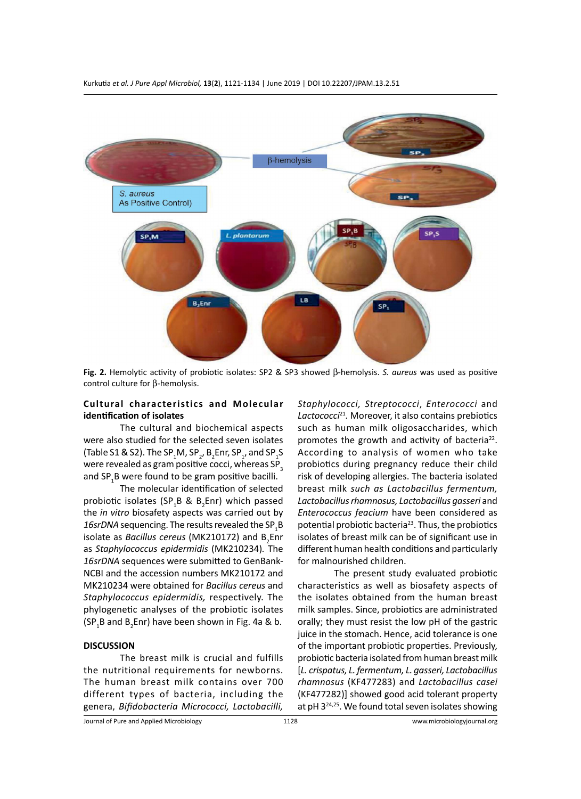

Fig. 2. Hemolytic activity of probiotic isolates: SP2 & SP3 showed  $\beta$ -hemolysis. *S. aureus* was used as positive control culture for  $\beta$ -hemolysis.

# **Cultural characteristics and Molecular identification of isolates**

The cultural and biochemical aspects were also studied for the selected seven isolates (Table S1 & S2). The SP<sub>1</sub>M, SP<sub>2</sub>, B<sub>2</sub>Enr, SP<sub>1</sub>, and SP<sub>1</sub>S were revealed as gram positive cocci, whereas SP<sub>3</sub> and SP<sub>1</sub>B were found to be gram positive bacilli.

The molecular identification of selected probiotic isolates (SP<sub>1</sub>B & B<sub>2</sub>Enr) which passed the *in vitro* biosafety aspects was carried out by 16srDNA sequencing. The results revealed the SP<sub>1</sub>B isolate as *Bacillus cereus* (MK210172) and B<sub>2</sub>Enr as *Staphylococcus epidermidis* (MK210234)*.* The *16srDNA* sequences were submitted to GenBank-NCBI and the accession numbers MK210172 and MK210234 were obtained for *Bacillus cereus* and *Staphylococcus epidermidis,* respectively. The phylogenetic analyses of the probiotic isolates  $(SP<sub>1</sub>B$  and  $B<sub>2</sub>Enr)$  have been shown in Fig. 4a & b.

### **DISCUSSION**

The breast milk is crucial and fulfills the nutritional requirements for newborns. The human breast milk contains over 700 different types of bacteria, including the genera, *Bifidobacteria Micrococci, Lactobacilli,*  *Staphylococci, Streptococci*, *Enterococci* and *Lactococci*21*.* Moreover, it also contains prebiotics such as human milk oligosaccharides, which promotes the growth and activity of bacteria<sup>22</sup>. According to analysis of women who take probiotics during pregnancy reduce their child risk of developing allergies. The bacteria isolated breast milk *such as Lactobacillus fermentum, Lactobacillus rhamnosus, Lactobacillus gasseri* and *Enterococcus feacium* have been considered as potential probiotic bacteria<sup>23</sup>. Thus, the probiotics isolates of breast milk can be of significant use in different human health conditions and particularly for malnourished children.

The present study evaluated probiotic characteristics as well as biosafety aspects of the isolates obtained from the human breast milk samples. Since, probiotics are administrated orally; they must resist the low pH of the gastric juice in the stomach. Hence, acid tolerance is one of the important probiotic properties. Previously, probiotic bacteria isolated from human breast milk [*L. crispatus, L. fermentum, L. gasseri, Lactobacillus rhamnosus* (KF477283) and *Lactobacillus casei*  (KF477282)] showed good acid tolerant property at pH 324,25. We found total seven isolates showing

Journal of Pure and Applied Microbiology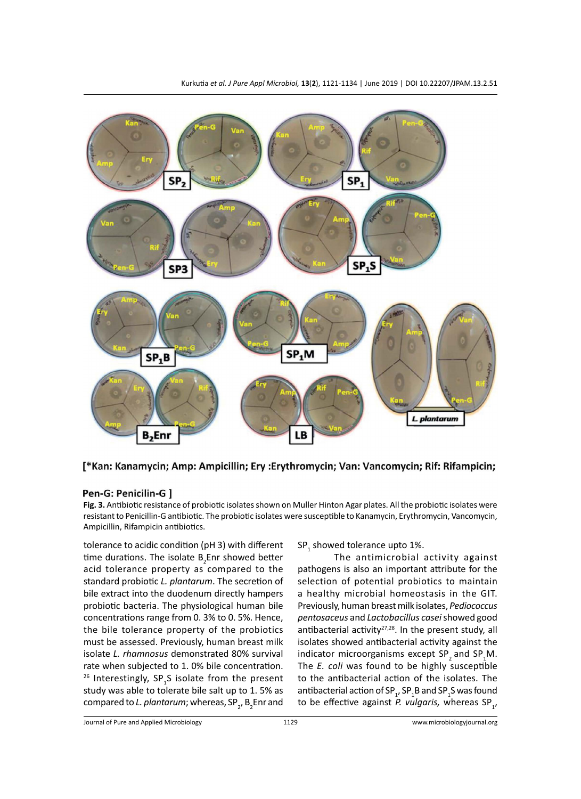

[\*Kan: Kanamycin; Amp: Ampicillin; Ery : Erythromycin; Van: Vancomycin; Rif: Rifampicin;

# Pen-G: Penicilin-G ]

**Fig. 3.** Antibiotic resistance of probiotic isolates shown on Muller Hinton Agar plates. All the probiotic isolates were resistant to Penicillin-G antibiotic. The probiotic isolates were susceptible to Kanamycin, Erythromycin, Vancomycin, Ampicillin, Rifampicin antibiotics.

tolerance to acidic condition (pH 3) with different time durations. The isolate  $B_2$ Enr showed better acid tolerance property as compared to the standard probiotic *L. plantarum*. The secretion of bile extract into the duodenum directly hampers probiotic bacteria. The physiological human bile concentrations range from 0. 3% to 0. 5%. Hence, the bile tolerance property of the probiotics must be assessed. Previously, human breast milk isolate *L. rhamnosus* demonstrated 80% survival rate when subjected to 1. 0% bile concentration. <sup>26</sup> Interestingly,  $SP<sub>1</sub>S$  isolate from the present study was able to tolerate bile salt up to 1. 5% as compared to *L. plantarum*; whereas, SP<sub>2</sub>, B<sub>2</sub>Enr and SP<sub>1</sub> showed tolerance upto 1%.

The antimicrobial activity against pathogens is also an important attribute for the selection of potential probiotics to maintain a healthy microbial homeostasis in the GIT. Previously, human breast milk isolates, *Pediococcus pentosaceus* and *Lactobacillus casei* showed good antibacterial activity<sup>27,28</sup>. In the present study, all isolates showed antibacterial activity against the indicator microorganisms except SP<sub>2</sub> and SP<sub>1</sub>M. The *E. coli* was found to be highly susceptible to the antibacterial action of the isolates. The antibacterial action of SP $_{_1^{\prime}}$ SP $_{_1^{\prime}}$ B and SP $_{_1^{\prime}}$ S was found to be effective against P. vulgaris, whereas SP<sub>1</sub>,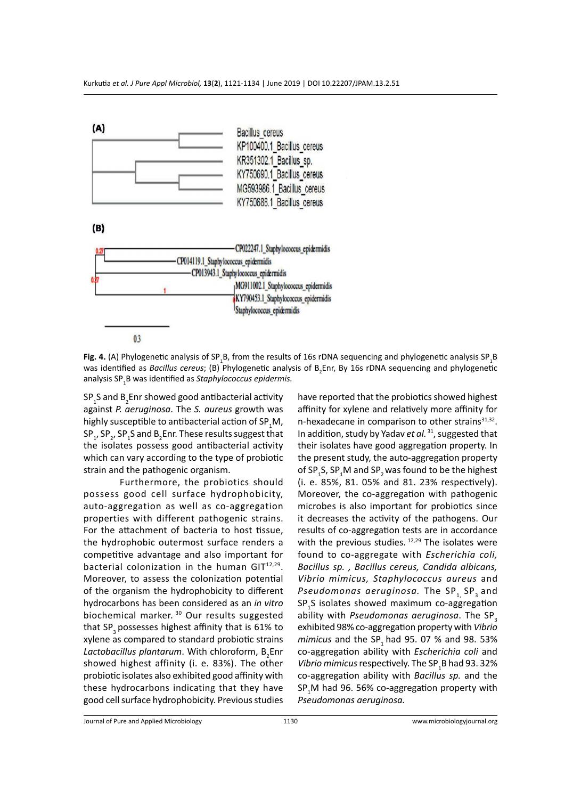

Fig. 4. (A) Phylogenetic analysis of SP<sub>1</sub>B, from the results of 16s rDNA sequencing and phylogenetic analysis SP<sub>1</sub>B was identified as *Bacillus cereus*; (B) Phylogenetic analysis of B<sub>2</sub>Enr, By 16s rDNA sequencing and phylogenetic analysis SP<sup>1</sup> B was identified as *Staphylococcus epidermis.*

 $\mathsf{SP}_\mathtt{1}\mathsf{S}$  and  $\mathsf{B}_\mathtt{2}\mathsf{Enr}$  showed good antibacterial activity against *P. aeruginosa*. The *S. aureus* growth was highly susceptible to antibacterial action of SP<sub>1</sub>M,  $\text{SP}_1$ , SP<sub>2</sub>, SP<sub>1</sub>S and B<sub>2</sub>Enr. These results suggest that the isolates possess good antibacterial activity which can vary according to the type of probiotic strain and the pathogenic organism.

Furthermore, the probiotics should possess good cell surface hydrophobicity, auto-aggregation as well as co-aggregation properties with different pathogenic strains. For the attachment of bacteria to host tissue, the hydrophobic outermost surface renders a competitive advantage and also important for bacterial colonization in the human GIT<sup>12,29</sup>. Moreover, to assess the colonization potential of the organism the hydrophobicity to different hydrocarbons has been considered as an *in vitro* biochemical marker.<sup>30</sup> Our results suggested that SP<sub>3</sub> possesses highest affinity that is 61% to xylene as compared to standard probiotic strains Lactobacillus plantarum. With chloroform, B<sub>2</sub>Enr showed highest affinity (i. e. 83%). The other probiotic isolates also exhibited good affinity with these hydrocarbons indicating that they have good cell surface hydrophobicity. Previous studies

have reported that the probiotics showed highest affinity for xylene and relatively more affinity for n-hexadecane in comparison to other strains $31,32$ . In addition, study by Yadav *et al.*<sup>31</sup>, suggested that their isolates have good aggregation property. In the present study, the auto-aggregation property of SP<sub>1</sub>S, SP<sub>1</sub>M and SP<sub>2</sub> was found to be the highest (i. e. 85%, 81. 05% and 81. 23% respectively). Moreover, the co-aggregation with pathogenic microbes is also important for probiotics since it decreases the activity of the pathogens. Our results of co-aggregation tests are in accordance with the previous studies. 12,29 The isolates were found to co-aggregate with *Escherichia coli, Bacillus sp. , Bacillus cereus, Candida albicans, Vibrio mimicus, Staphylococcus aureus* and *Pseudomonas aeruginosa.* The SP<sub>1</sub> SP<sub>3</sub> and SP<sub>1</sub>S isolates showed maximum co-aggregation ability with *Pseudomonas aeruginosa*. The SP<sub>3</sub> exhibited 98% co-aggregation property with *Vibrio mimicus* and the SP<sub>1</sub> had 95. 07 % and 98. 53% co-aggregation ability with *Escherichia coli* and *Vibrio mimicus* respectively. The SP<sup>1</sup> B had 93. 32% co-aggregation ability with *Bacillus sp.* and the  $\mathsf{SP}_1\mathsf{M}$  had 96. 56% co-aggregation property with *Pseudomonas aeruginosa.*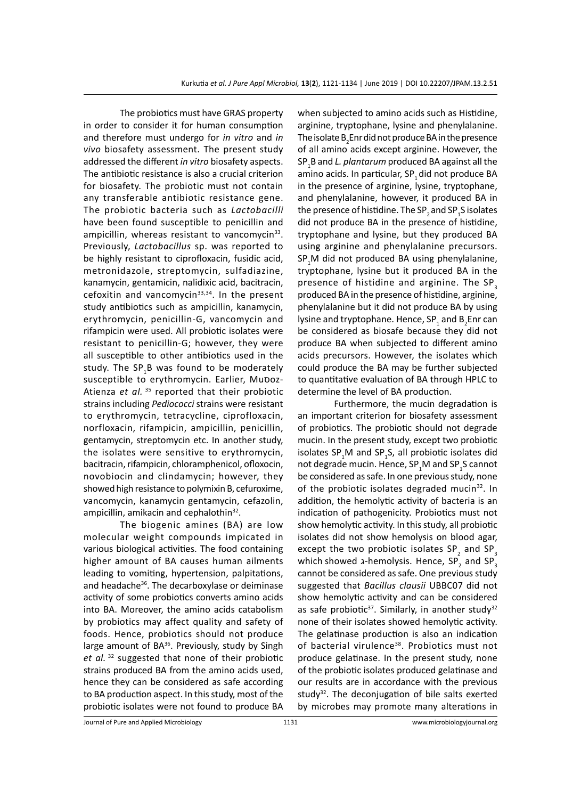The probiotics must have GRAS property in order to consider it for human consumption and therefore must undergo for *in vitro* and *in vivo* biosafety assessment. The present study addressed the different *in vitro* biosafety aspects. The antibiotic resistance is also a crucial criterion for biosafety. The probiotic must not contain any transferable antibiotic resistance gene. The probiotic bacteria such as *Lactobacilli* have been found susceptible to penicillin and ampicillin, whereas resistant to vancomycin $33$ . Previously, *Lactobacillus* sp. was reported to be highly resistant to ciprofloxacin, fusidic acid, metronidazole, streptomycin, sulfadiazine, kanamycin, gentamicin, nalidixic acid, bacitracin, cefoxitin and vancomycin<sup>33,34</sup>. In the present study antibiotics such as ampicillin, kanamycin, erythromycin, penicillin-G, vancomycin and rifampicin were used. All probiotic isolates were resistant to penicillin-G; however, they were all susceptible to other antibiotics used in the study. The SP<sub>1</sub>B was found to be moderately susceptible to erythromycin. Earlier, Muסoz-Atienza *et al.*<sup>35</sup> reported that their probiotic strains including *Pediococci* strains were resistant to erythromycin, tetracycline, ciprofloxacin, norfloxacin, rifampicin, ampicillin, penicillin, gentamycin, streptomycin etc. In another study, the isolates were sensitive to erythromycin, bacitracin, rifampicin, chloramphenicol, ofloxocin, novobiocin and clindamycin; however, they showed high resistance to polymixin B, cefuroxime, vancomycin, kanamycin gentamycin, cefazolin, ampicillin, amikacin and cephalothin<sup>32</sup>.

The biogenic amines (BA) are low molecular weight compounds impicated in various biological activities. The food containing higher amount of BA causes human ailments leading to vomiting, hypertension, palpitations, and headache<sup>36</sup>. The decarboxylase or deiminase activity of some probiotics converts amino acids into BA. Moreover, the amino acids catabolism by probiotics may affect quality and safety of foods. Hence, probiotics should not produce large amount of BA<sup>36</sup>. Previously, study by Singh *et al.*<sup>32</sup> suggested that none of their probiotic strains produced BA from the amino acids used, hence they can be considered as safe according to BA production aspect. In this study, most of the probiotic isolates were not found to produce BA when subjected to amino acids such as Histidine, arginine, tryptophane, lysine and phenylalanine. The isolate  $\mathtt{B}_2$ Enr did not produce BA in the presence of all amino acids except arginine. However, the SP<sup>1</sup> B and *L. plantarum* produced BA against all the amino acids. In particular, SP<sub>1</sub> did not produce BA in the presence of arginine, lysine, tryptophane, and phenylalanine, however, it produced BA in the presence of histidine. The SP<sub>2</sub> and SP<sub>1</sub>S isolates did not produce BA in the presence of histidine, tryptophane and lysine, but they produced BA using arginine and phenylalanine precursors.  $SP<sub>1</sub>M$  did not produced BA using phenylalanine, tryptophane, lysine but it produced BA in the presence of histidine and arginine. The SP<sub>3</sub> produced BA in the presence of histidine, arginine, phenylalanine but it did not produce BA by using lysine and tryptophane. Hence, SP<sub>1</sub> and B<sub>2</sub>Enr can be considered as biosafe because they did not produce BA when subjected to different amino acids precursors. However, the isolates which could produce the BA may be further subjected to quantitative evaluation of BA through HPLC to determine the level of BA production.

Furthermore, the mucin degradation is an important criterion for biosafety assessment of probiotics. The probiotic should not degrade mucin. In the present study, except two probiotic isolates SP<sub>1</sub>M and SP<sub>1</sub>S, all probiotic isolates did not degrade mucin. Hence, SP $_{1}$ M and SP $_{1}$ S cannot be considered as safe. In one previous study, none of the probiotic isolates degraded mucin<sup>32</sup>. In addition, the hemolytic activity of bacteria is an indication of pathogenicity. Probiotics must not show hemolytic activity. In this study, all probiotic isolates did not show hemolysis on blood agar, except the two probiotic isolates SP<sub>2</sub> and SP<sub>3</sub> which showed 2-hemolysis. Hence, SP<sub>2</sub> and SP<sub>3</sub> cannot be considered as safe. One previous study suggested that *Bacillus clausii* UBBC07 did not show hemolytic activity and can be considered as safe probiotic<sup>37</sup>. Similarly, in another study<sup>32</sup> none of their isolates showed hemolytic activity. The gelatinase production is also an indication of bacterial virulence<sup>38</sup>. Probiotics must not produce gelatinase. In the present study, none of the probiotic isolates produced gelatinase and our results are in accordance with the previous study<sup>32</sup>. The deconjugation of bile salts exerted by microbes may promote many alterations in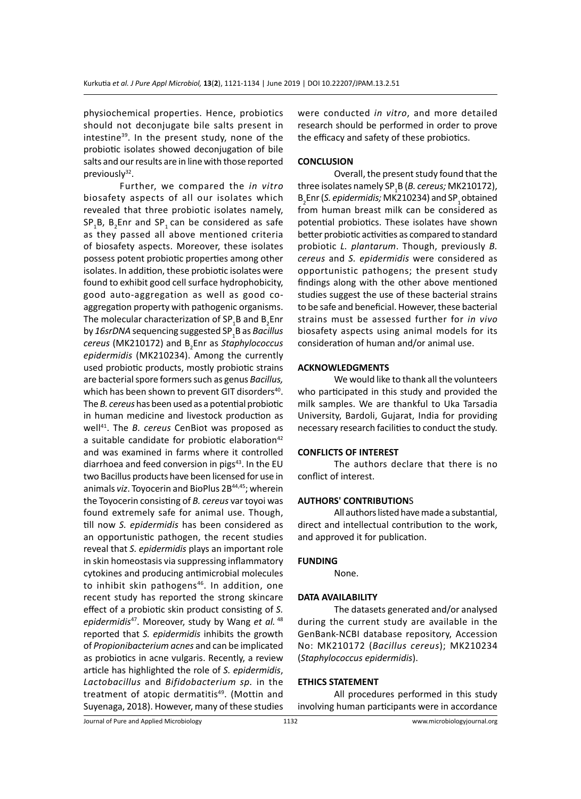physiochemical properties. Hence, probiotics should not deconjugate bile salts present in intestine<sup>39</sup>. In the present study, none of the probiotic isolates showed deconjugation of bile salts and our results are in line with those reported previously $32$ .

Further, we compared the *in vitro* biosafety aspects of all our isolates which revealed that three probiotic isolates namely,  $\text{SP}_1\text{B}$ ,  $\text{B}_2$ Enr and  $\text{SP}_1$  can be considered as safe as they passed all above mentioned criteria of biosafety aspects. Moreover, these isolates possess potent probiotic properties among other isolates. In addition, these probiotic isolates were found to exhibit good cell surface hydrophobicity, good auto-aggregation as well as good coaggregation property with pathogenic organisms. The molecular characterization of SP<sub>1</sub>B and B<sub>2</sub>Enr by *16srDNA* sequencing suggested SP<sup>1</sup> B as *Bacillus cereus* (MK210172) and B2 Enr as *Staphylococcus epidermidis* (MK210234). Among the currently used probiotic products, mostly probiotic strains are bacterial spore formers such as genus *Bacillus,* which has been shown to prevent GIT disorders<sup>40</sup>. The *B. cereus* has been used as a potential probiotic in human medicine and livestock production as well<sup>41</sup>. The *B. cereus* CenBiot was proposed as a suitable candidate for probiotic elaboration<sup>42</sup> and was examined in farms where it controlled diarrhoea and feed conversion in pigs<sup>43</sup>. In the EU two Bacillus products have been licensed for use in animals viz. Toyocerin and BioPlus 2B<sup>44,45</sup>; wherein the Toyocerin consisting of *B. cereus* var toyoi was found extremely safe for animal use. Though, till now *S. epidermidis* has been considered as an opportunistic pathogen, the recent studies reveal that *S. epidermidis* plays an important role in skin homeostasis via suppressing inflammatory cytokines and producing antimicrobial molecules to inhibit skin pathogens<sup>46</sup>. In addition, one recent study has reported the strong skincare effect of a probiotic skin product consisting of *S. epidermidis*<sup>47</sup>. Moreover, study by Wang *et al.*<sup>48</sup> reported that *S. epidermidis* inhibits the growth of *Propionibacterium acnes* and can be implicated as probiotics in acne vulgaris. Recently, a review article has highlighted the role of *S. epidermidis*, *Lactobacillus* and *Bifidobacterium sp.* in the treatment of atopic dermatitis<sup>49</sup>. (Mottin and Suyenaga, 2018). However, many of these studies

were conducted *in vitro*, and more detailed research should be performed in order to prove the efficacy and safety of these probiotics.

# **CONCLUSION**

Overall, the present study found that the three isolates namely SP<sup>1</sup> B (*B. cereus;* MK210172), B<sub>2</sub>Enr (*S. epidermidis;* MK210234) and SP<sub>1</sub> obtained from human breast milk can be considered as potential probiotics. These isolates have shown better probiotic activities as compared to standard probiotic *L. plantarum*. Though, previously *B. cereus* and *S. epidermidis* were considered as opportunistic pathogens; the present study findings along with the other above mentioned studies suggest the use of these bacterial strains to be safe and beneficial. However, these bacterial strains must be assessed further for *in vivo*  biosafety aspects using animal models for its consideration of human and/or animal use.

#### **ACKNOWLEDGMENTS**

We would like to thank all the volunteers who participated in this study and provided the milk samples. We are thankful to Uka Tarsadia University, Bardoli, Gujarat, India for providing necessary research facilities to conduct the study.

#### **CONFLICTS OF INTEREST**

The authors declare that there is no conflict of interest.

#### **AUTHORS' CONTRIBUTION**S

All authors listed have made a substantial, direct and intellectual contribution to the work, and approved it for publication.

#### **FUNDING**

None.

# **DATA AVAILABILITY**

The datasets generated and/or analysed during the current study are available in the GenBank-NCBI database repository, Accession No: MK210172 (*Bacillus cereus*); MK210234 (*Staphylococcus epidermidis*).

#### **ETHICS STATEMENT**

All procedures performed in this study involving human participants were in accordance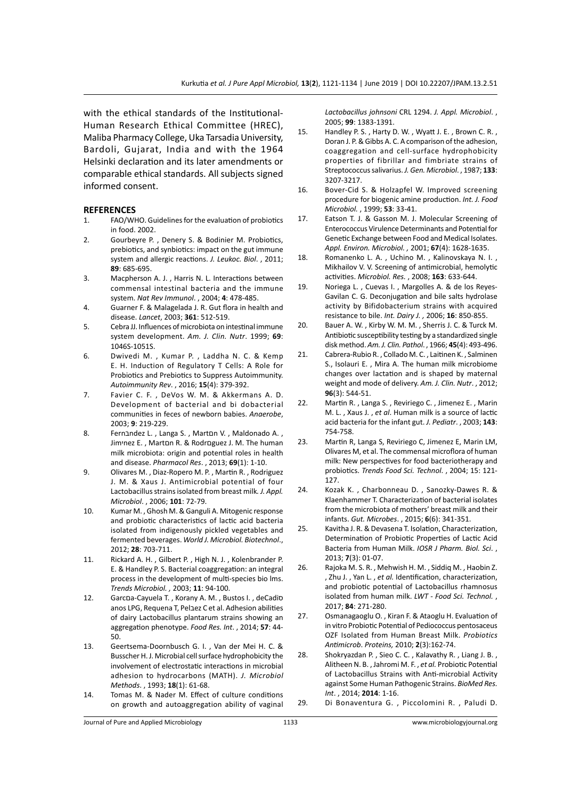with the ethical standards of the Institutional-Human Research Ethical Committee (HREC), Maliba Pharmacy College, Uka Tarsadia University, Bardoli, Gujarat, India and with the 1964 Helsinki declaration and its later amendments or comparable ethical standards. All subjects signed informed consent.

#### **REFERENCES**

- 1. FAO/WHO. Guidelines for the evaluation of probiotics in food. 2002.
- 2. Gourbeyre P. , Denery S. & Bodinier M. Probiotics, prebiotics, and synbiotics: impact on the gut immune system and allergic reactions. *J. Leukoc. Biol*. , 2011; **89**: 685-695.
- 3. Macpherson A. J. , Harris N. L. Interactions between commensal intestinal bacteria and the immune system. *Nat Rev Immunol*. , 2004; **4**: 478-485.
- 4. Guarner F. & Malagelada J. R. Gut flora in health and disease. *Lancet*, 2003; **361**: 512-519.
- 5. Cebra JJ. Influences of microbiota on intestinal immune system development. *Am. J. Clin. Nutr*. 1999; **69**: 1046S-1051S.
- 6. Dwivedi M. , Kumar P. , Laddha N. C. & Kemp E. H. Induction of Regulatory T Cells: A Role for Probiotics and Prebiotics to Suppress Autoimmunity. *Autoimmunity Rev*. , 2016; **15**(4): 379-392.
- 7. Favier C. F. , DeVos W. M. & Akkermans A. D. Development of bacterial and bi dobacterial communities in feces of newborn babies. *Anaerobe*, 2003; **9**: 219-229.
- 8. Fernandez L., Langa S., Marton V., Maldonado A., Jimיnez E. , Martםn R. & Rodrםguez J. M. The human milk microbiota: origin and potential roles in health and disease. *Pharmacol Res*. , 2013; **69**(1): 1-10.
- 9. Olivares M. , Diaz-Ropero M. P. , Martin R. , Rodriguez J. M. & Xaus J. Antimicrobial potential of four Lactobacillus strains isolated from breast milk*. J. Appl. Microbiol*. , 2006; **101**: 72-79.
- 10. Kumar M. , Ghosh M. & Ganguli A. Mitogenic response and probiotic characteristics of lactic acid bacteria isolated from indigenously pickled vegetables and fermented beverages. *World J. Microbiol. Biotechnol*., 2012; **28**: 703-711.
- 11. Rickard A. H. , Gilbert P. , High N. J. , Kolenbrander P. E. & Handley P. S. Bacterial coaggregation: an integral process in the development of multi-species bio lms. *Trends Microbiol. ,* 2003; **11**: 94-100.
- 12. Garcםa-Cayuela T. , Korany A. M. , Bustos I. , deCadiס anos LPG, Requena T, Pelבez C et al. Adhesion abilities of dairy Lactobacillus plantarum strains showing an aggregation phenotype. *Food Res. Int*. , 2014; **57**: 44- 50.
- 13. Geertsema-Doornbusch G. I. , Van der Mei H. C. & Busscher H. J. Microbial cell surface hydrophobicity the involvement of electrostatic interactions in microbial adhesion to hydrocarbons (MATH). *J. Microbiol Methods*. , 1993; **18**(1): 61-68.
- 14. Tomas M. & Nader M. Effect of culture conditions on growth and autoaggregation ability of vaginal

*Lactobacillus johnsoni* CRL 1294. *J. Appl. Microbiol*. , 2005; **99**: 1383-1391.

- 15. Handley P. S. , Harty D. W. , Wyatt J. E. , Brown C. R. , Doran J. P. & Gibbs A. C. A comparison of the adhesion, coaggregation and cell-surface hydrophobicity properties of fibrillar and fimbriate strains of Streptococcus salivarius. *J. Gen. Microbiol*. , 1987; **133**: 3207-3217.
- 16. Bover-Cid S. & Holzapfel W. Improved screening procedure for biogenic amine production. *Int. J. Food Microbiol.* , 1999; **53**: 33-41.
- 17. Eatson T. J. & Gasson M. J. Molecular Screening of Enterococcus Virulence Determinants and Potential for Genetic Exchange between Food and Medical Isolates. *Appl. Environ. Microbiol. ,* 2001; **67**(4): 1628-1635.
- 18. Romanenko L. A. , Uchino M. , Kalinovskaya N. I. , Mikhailov V. V. Screening of antimicrobial, hemolytic activities. *Microbiol. Res.* , 2008; **163**: 633-644.
- 19. Noriega L. , Cuevas I. , Margolles A. & de los Reyes-Gavilan C. G. Deconjugation and bile salts hydrolase activity by Bifidobacterium strains with acquired resistance to bile. *Int. Dairy J. ,* 2006; **16**: 850-855.
- 20. Bauer A. W. , Kirby W. M. M. , Sherris J. C. & Turck M. Antibiotic susceptibility testing by a standardized single disk method. *Am. J. Clin. Pathol*. , 1966; **45**(4): 493-496.
- 21. Cabrera-Rubio R. , Collado M. C. , Laitinen K. , Salminen S., Isolauri E. , Mira A. The human milk microbiome changes over lactation and is shaped by maternal weight and mode of delivery. *Am. J. Clin. Nutr*. , 2012; **96**(3): 544-51.
- 22. Martin R. , Langa S. , Reviriego C. , Jimenez E. , Marin M. L. , Xaus J. , *et al*. Human milk is a source of lactic acid bacteria for the infant gut. *J. Pediatr*. , 2003; **143**: 754-758.
- 23. Martin R, Langa S, Reviriego C, Jimenez E, Marin LM, Olivares M, et al. The commensal microflora of human milk: New perspectives for food bacteriotherapy and probiotics. *Trends Food Sci. Technol*. , 2004; 15: 121- 127.
- 24. Kozak K. , Charbonneau D. , Sanozky-Dawes R. & Klaenhammer T. Characterization of bacterial isolates from the microbiota of mothers' breast milk and their infants. *Gut. Microbes*. , 2015; **6**(6): 341-351.
- 25. Kavitha J. R. & Devasena T. Isolation, Characterization, Determination of Probiotic Properties of Lactic Acid Bacteria from Human Milk. *IOSR J Pharm. Biol. Sci*. , 2013; **7**(3): 01-07.
- 26. Rajoka M. S. R. , Mehwish H. M. , Siddiq M. , Haobin Z. , Zhu J. , Yan L. , *et al.* Identification, characterization, and probiotic potential of Lactobacillus rhamnosus isolated from human milk. *LWT - Food Sci. Technol.* , 2017; **84**: 271-280.
- 27. Osmanagaoglu O. , Kiran F. & Ataoglu H. Evaluation of in vitro Probiotic Potential of Pediococcus pentosaceus OZF Isolated from Human Breast Milk. *Probiotics Antimicrob*. *Proteins,* 2010; **2**(3):162-74.
- 28. Shokryazdan P. , Sieo C. C. , Kalavathy R. , Liang J. B. , Alitheen N. B. , Jahromi M. F. , *et al.* Probiotic Potential of Lactobacillus Strains with Anti-microbial Activity against Some Human Pathogenic Strains. *BioMed Res. Int*. , 2014; **2014**: 1-16.
- 29. Di Bonaventura G. , Piccolomini R. , Paludi D.